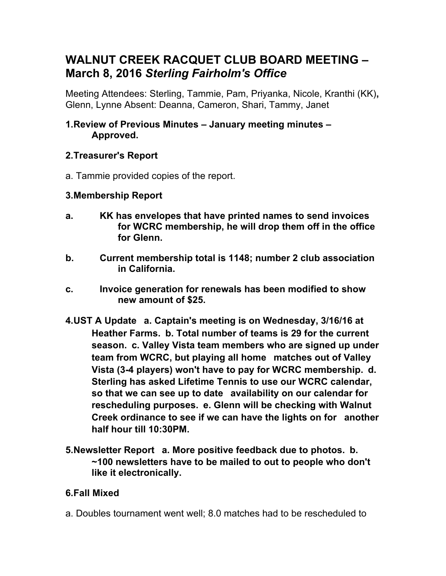# **WALNUT CREEK RACQUET CLUB BOARD MEETING – March 8, 2016** *Sterling Fairholm's Office*

Meeting Attendees: Sterling, Tammie, Pam, Priyanka, Nicole, Kranthi (KK)**,**  Glenn, Lynne Absent: Deanna, Cameron, Shari, Tammy, Janet

#### **1.Review of Previous Minutes – January meeting minutes – Approved.**

## **2.Treasurer's Report**

a. Tammie provided copies of the report.

### **3.Membership Report**

- **a. KK has envelopes that have printed names to send invoices for WCRC membership, he will drop them off in the office for Glenn.**
- **b. Current membership total is 1148; number 2 club association in California.**
- **c. Invoice generation for renewals has been modified to show new amount of \$25.**
- **4.UST A Update a. Captain's meeting is on Wednesday, 3/16/16 at Heather Farms. b. Total number of teams is 29 for the current season. c. Valley Vista team members who are signed up under team from WCRC, but playing all home matches out of Valley Vista (3-4 players) won't have to pay for WCRC membership. d. Sterling has asked Lifetime Tennis to use our WCRC calendar, so that we can see up to date availability on our calendar for rescheduling purposes. e. Glenn will be checking with Walnut Creek ordinance to see if we can have the lights on for another half hour till 10:30PM.**
- **5.Newsletter Report a. More positive feedback due to photos. b. ~100 newsletters have to be mailed to out to people who don't like it electronically.**

### **6.Fall Mixed**

a. Doubles tournament went well; 8.0 matches had to be rescheduled to